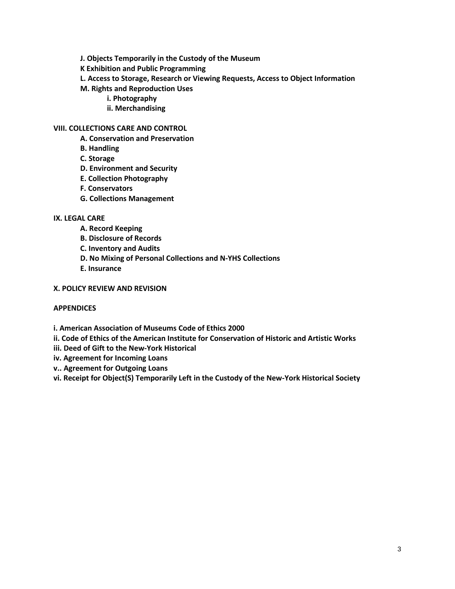- **J. Objects Temporarily in the Custody of the Museum**
- **K Exhibition and Public Programming**
- **L. Access to Storage, Research or Viewing Requests, Access to Object Information**
- **M. Rights and Reproduction Uses**
	- **i. Photography**
	- **ii. Merchandising**

#### **VIII. COLLECTIONS CARE AND CONTROL**

- **A. Conservation and Preservation**
- **B. Handling**
- **C. Storage**
- **D. Environment and Security**
- **E. Collection Photography**
- **F. Conservators**
- **G. Collections Management**

### **IX. LEGAL CARE**

- **A. Record Keeping**
- **B. Disclosure of Records**
- **C. Inventory and Audits**
- **D. No Mixing of Personal Collections and N-YHS Collections**
- **E. Insurance**

#### **X. POLICY REVIEW AND REVISION**

#### **APPENDICES**

**i. American Association of Museums Code of Ethics 2000**

- **ii. Code of Ethics of the American Institute for Conservation of Historic and Artistic Works**
- **iii. Deed of Gift to the New-York Historical**
- **iv. Agreement for Incoming Loans**
- **v.. Agreement for Outgoing Loans**
- **vi.Receipt for Object(S) Temporarily Left in the Custody of the New-York Historical Society**

**AMENDMENT - June 9, 2020**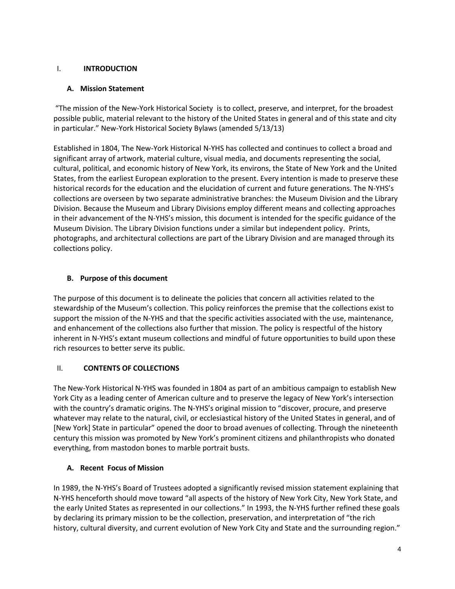### I. **INTRODUCTION**

### **A. Mission Statement**

"The mission of the New-York Historical Society is to collect, preserve, and interpret, for the broadest possible public, material relevant to the history of the United States in general and of this state and city in particular." New-York Historical Society Bylaws (amended 5/13/13)

Established in 1804, The New-York Historical N-YHS has collected and continues to collect a broad and significant array of artwork, material culture, visual media, and documents representing the social, cultural, political, and economic history of New York, its environs, the State of New York and the United States, from the earliest European exploration to the present. Every intention is made to preserve these historical records for the education and the elucidation of current and future generations. The N-YHS's collections are overseen by two separate administrative branches: the Museum Division and the Library Division. Because the Museum and Library Divisions employ different means and collecting approaches in their advancement of the N-YHS's mission, this document is intended for the specific guidance of the Museum Division. The Library Division functions under a similar but independent policy. Prints, photographs, and architectural collections are part of the Library Division and are managed through its collections policy.

## **B. Purpose of this document**

The purpose of this document is to delineate the policies that concern all activities related to the stewardship of the Museum's collection. This policy reinforces the premise that the collections exist to support the mission of the N-YHS and that the specific activities associated with the use, maintenance, and enhancement of the collections also further that mission. The policy is respectful of the history inherent in N-YHS's extant museum collections and mindful of future opportunities to build upon these rich resources to better serve its public.

## II. **CONTENTS OF COLLECTIONS**

The New-York Historical N-YHS was founded in 1804 as part of an ambitious campaign to establish New York City as a leading center of American culture and to preserve the legacy of New York's intersection with the country's dramatic origins. The N-YHS's original mission to "discover, procure, and preserve whatever may relate to the natural, civil, or ecclesiastical history of the United States in general, and of [New York] State in particular" opened the door to broad avenues of collecting. Through the nineteenth century this mission was promoted by New York's prominent citizens and philanthropists who donated everything, from mastodon bones to marble portrait busts.

## **A. Recent Focus of Mission**

In 1989, the N-YHS's Board of Trustees adopted a significantly revised mission statement explaining that N-YHS henceforth should move toward "all aspects of the history of New York City, New York State, and the early United States as represented in our collections." In 1993, the N-YHS further refined these goals by declaring its primary mission to be the collection, preservation, and interpretation of "the rich history, cultural diversity, and current evolution of New York City and State and the surrounding region."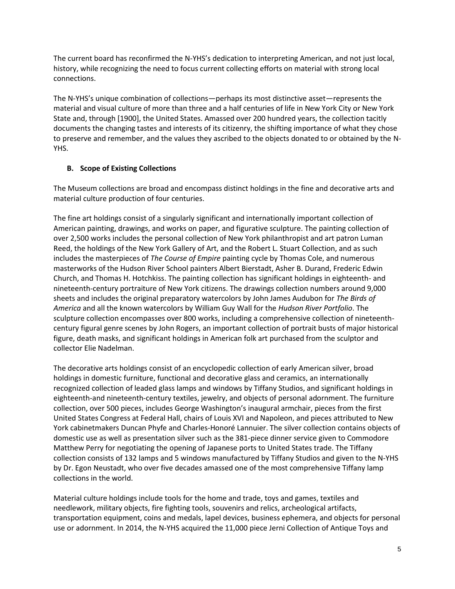The current board has reconfirmed the N-YHS's dedication to interpreting American, and not just local, history, while recognizing the need to focus current collecting efforts on material with strong local connections.

The N-YHS's unique combination of collections—perhaps its most distinctive asset—represents the material and visual culture of more than three and a half centuries of life in New York City or New York State and, through [1900], the United States. Amassed over 200 hundred years, the collection tacitly documents the changing tastes and interests of its citizenry, the shifting importance of what they chose to preserve and remember, and the values they ascribed to the objects donated to or obtained by the N-YHS.

## **B. Scope of Existing Collections**

The Museum collections are broad and encompass distinct holdings in the fine and decorative arts and material culture production of four centuries.

The fine art holdings consist of a singularly significant and internationally important collection of American painting, drawings, and works on paper, and figurative sculpture. The painting collection of over 2,500 works includes the personal collection of New York philanthropist and art patron Luman Reed, the holdings of the New York Gallery of Art, and the Robert L. Stuart Collection, and as such includes the masterpieces of *The Course of Empire* painting cycle by Thomas Cole, and numerous masterworks of the Hudson River School painters Albert Bierstadt, Asher B. Durand, Frederic Edwin Church, and Thomas H. Hotchkiss. The painting collection has significant holdings in eighteenth- and nineteenth-century portraiture of New York citizens. The drawings collection numbers around 9,000 sheets and includes the original preparatory watercolors by John James Audubon for *The Birds of America* and all the known watercolors by William Guy Wall for the *Hudson River Portfolio*. The sculpture collection encompasses over 800 works, including a comprehensive collection of nineteenthcentury figural genre scenes by John Rogers, an important collection of portrait busts of major historical figure, death masks, and significant holdings in American folk art purchased from the sculptor and collector Elie Nadelman.

The decorative arts holdings consist of an encyclopedic collection of early American silver, broad holdings in domestic furniture, functional and decorative glass and ceramics, an internationally recognized collection of leaded glass lamps and windows by Tiffany Studios, and significant holdings in eighteenth-and nineteenth-century textiles, jewelry, and objects of personal adornment. The furniture collection, over 500 pieces, includes George Washington's inaugural armchair, pieces from the first United States Congress at Federal Hall, chairs of Louis XVI and Napoleon, and pieces attributed to New York cabinetmakers Duncan Phyfe and Charles-Honoré Lannuier. The silver collection contains objects of domestic use as well as presentation silver such as the 381-piece dinner service given to Commodore Matthew Perry for negotiating the opening of Japanese ports to United States trade. The Tiffany collection consists of 132 lamps and 5 windows manufactured by Tiffany Studios and given to the N-YHS by Dr. Egon Neustadt, who over five decades amassed one of the most comprehensive Tiffany lamp collections in the world.

Material culture holdings include tools for the home and trade, toys and games, textiles and needlework, military objects, fire fighting tools, souvenirs and relics, archeological artifacts, transportation equipment, coins and medals, lapel devices, business ephemera, and objects for personal use or adornment. In 2014, the N-YHS acquired the 11,000 piece Jerni Collection of Antique Toys and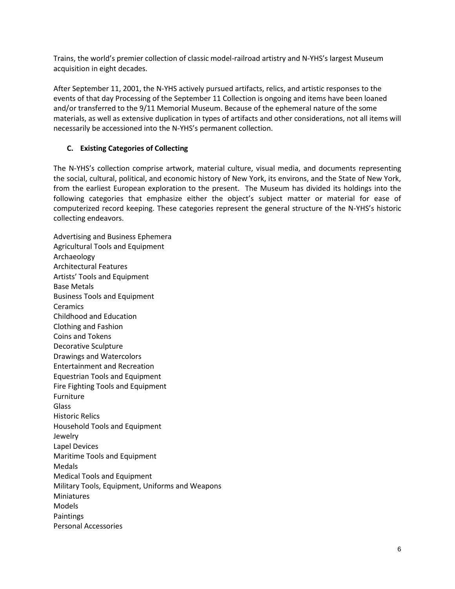Trains, the world's premier collection of classic model-railroad artistry and N-YHS's largest Museum acquisition in eight decades.

After September 11, 2001, the N-YHS actively pursued artifacts, relics, and artistic responses to the events of that day Processing of the September 11 Collection is ongoing and items have been loaned and/or transferred to the 9/11 Memorial Museum. Because of the ephemeral nature of the some materials, as well as extensive duplication in types of artifacts and other considerations, not all items will necessarily be accessioned into the N-YHS's permanent collection.

### **C. Existing Categories of Collecting**

The N-YHS's collection comprise artwork, material culture, visual media, and documents representing the social, cultural, political, and economic history of New York, its environs, and the State of New York, from the earliest European exploration to the present. The Museum has divided its holdings into the following categories that emphasize either the object's subject matter or material for ease of computerized record keeping. These categories represent the general structure of the N-YHS's historic collecting endeavors.

Advertising and Business Ephemera Agricultural Tools and Equipment Archaeology Architectural Features Artists' Tools and Equipment Base Metals Business Tools and Equipment **Ceramics** Childhood and Education Clothing and Fashion Coins and Tokens Decorative Sculpture Drawings and Watercolors Entertainment and Recreation Equestrian Tools and Equipment Fire Fighting Tools and Equipment Furniture Glass Historic Relics Household Tools and Equipment Jewelry Lapel Devices Maritime Tools and Equipment Medals Medical Tools and Equipment Military Tools, Equipment, Uniforms and Weapons Miniatures Models **Paintings** Personal Accessories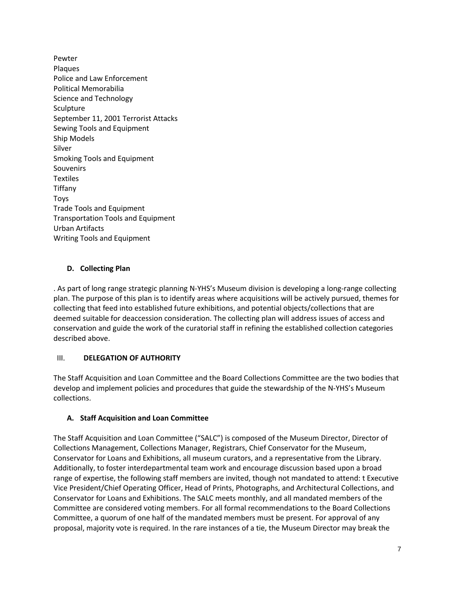Pewter Plaques Police and Law Enforcement Political Memorabilia Science and Technology Sculpture September 11, 2001 Terrorist Attacks Sewing Tools and Equipment Ship Models Silver Smoking Tools and Equipment **Souvenirs** Textiles Tiffany Toys Trade Tools and Equipment Transportation Tools and Equipment Urban Artifacts Writing Tools and Equipment

## **D. Collecting Plan**

. As part of long range strategic planning N-YHS's Museum division is developing a long-range collecting plan. The purpose of this plan is to identify areas where acquisitions will be actively pursued, themes for collecting that feed into established future exhibitions, and potential objects/collections that are deemed suitable for deaccession consideration. The collecting plan will address issues of access and conservation and guide the work of the curatorial staff in refining the established collection categories described above.

## III. **DELEGATION OF AUTHORITY**

The Staff Acquisition and Loan Committee and the Board Collections Committee are the two bodies that develop and implement policies and procedures that guide the stewardship of the N-YHS's Museum collections.

## **A. Staff Acquisition and Loan Committee**

The Staff Acquisition and Loan Committee ("SALC") is composed of the Museum Director, Director of Collections Management, Collections Manager, Registrars, Chief Conservator for the Museum, Conservator for Loans and Exhibitions, all museum curators, and a representative from the Library. Additionally, to foster interdepartmental team work and encourage discussion based upon a broad range of expertise, the following staff members are invited, though not mandated to attend: t Executive Vice President/Chief Operating Officer, Head of Prints, Photographs, and Architectural Collections, and Conservator for Loans and Exhibitions. The SALC meets monthly, and all mandated members of the Committee are considered voting members. For all formal recommendations to the Board Collections Committee, a quorum of one half of the mandated members must be present. For approval of any proposal, majority vote is required. In the rare instances of a tie, the Museum Director may break the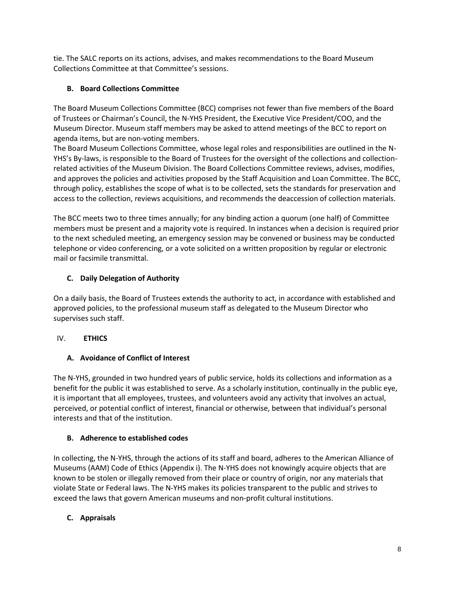tie. The SALC reports on its actions, advises, and makes recommendations to the Board Museum Collections Committee at that Committee's sessions.

## **B. Board Collections Committee**

The Board Museum Collections Committee (BCC) comprises not fewer than five members of the Board of Trustees or Chairman's Council, the N-YHS President, the Executive Vice President/COO, and the Museum Director. Museum staff members may be asked to attend meetings of the BCC to report on agenda items, but are non-voting members.

The Board Museum Collections Committee, whose legal roles and responsibilities are outlined in the N-YHS's By-laws, is responsible to the Board of Trustees for the oversight of the collections and collectionrelated activities of the Museum Division. The Board Collections Committee reviews, advises, modifies, and approves the policies and activities proposed by the Staff Acquisition and Loan Committee. The BCC, through policy, establishes the scope of what is to be collected, sets the standards for preservation and access to the collection, reviews acquisitions, and recommends the deaccession of collection materials.

The BCC meets two to three times annually; for any binding action a quorum (one half) of Committee members must be present and a majority vote is required. In instances when a decision is required prior to the next scheduled meeting, an emergency session may be convened or business may be conducted telephone or video conferencing, or a vote solicited on a written proposition by regular or electronic mail or facsimile transmittal.

## **C. Daily Delegation of Authority**

On a daily basis, the Board of Trustees extends the authority to act, in accordance with established and approved policies, to the professional museum staff as delegated to the Museum Director who supervises such staff.

## IV. **ETHICS**

## **A. Avoidance of Conflict of Interest**

The N-YHS, grounded in two hundred years of public service, holds its collections and information as a benefit for the public it was established to serve. As a scholarly institution, continually in the public eye, it is important that all employees, trustees, and volunteers avoid any activity that involves an actual, perceived, or potential conflict of interest, financial or otherwise, between that individual's personal interests and that of the institution.

## **B. Adherence to established codes**

In collecting, the N-YHS, through the actions of its staff and board, adheres to the American Alliance of Museums (AAM) Code of Ethics (Appendix i). The N-YHS does not knowingly acquire objects that are known to be stolen or illegally removed from their place or country of origin, nor any materials that violate State or Federal laws. The N-YHS makes its policies transparent to the public and strives to exceed the laws that govern American museums and non-profit cultural institutions.

## **C. Appraisals**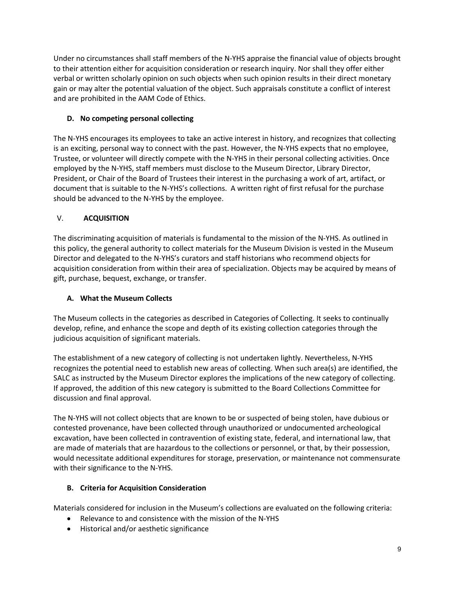Under no circumstances shall staff members of the N-YHS appraise the financial value of objects brought to their attention either for acquisition consideration or research inquiry. Nor shall they offer either verbal or written scholarly opinion on such objects when such opinion results in their direct monetary gain or may alter the potential valuation of the object. Such appraisals constitute a conflict of interest and are prohibited in the AAM Code of Ethics.

# **D. No competing personal collecting**

The N-YHS encourages its employees to take an active interest in history, and recognizes that collecting is an exciting, personal way to connect with the past. However, the N-YHS expects that no employee, Trustee, or volunteer will directly compete with the N-YHS in their personal collecting activities. Once employed by the N-YHS, staff members must disclose to the Museum Director, Library Director, President, or Chair of the Board of Trustees their interest in the purchasing a work of art, artifact, or document that is suitable to the N-YHS's collections. A written right of first refusal for the purchase should be advanced to the N-YHS by the employee.

# V. **ACQUISITION**

The discriminating acquisition of materials is fundamental to the mission of the N-YHS. As outlined in this policy, the general authority to collect materials for the Museum Division is vested in the Museum Director and delegated to the N-YHS's curators and staff historians who recommend objects for acquisition consideration from within their area of specialization. Objects may be acquired by means of gift, purchase, bequest, exchange, or transfer.

# **A. What the Museum Collects**

The Museum collects in the categories as described in Categories of Collecting. It seeks to continually develop, refine, and enhance the scope and depth of its existing collection categories through the judicious acquisition of significant materials.

The establishment of a new category of collecting is not undertaken lightly. Nevertheless, N-YHS recognizes the potential need to establish new areas of collecting. When such area(s) are identified, the SALC as instructed by the Museum Director explores the implications of the new category of collecting. If approved, the addition of this new category is submitted to the Board Collections Committee for discussion and final approval.

The N-YHS will not collect objects that are known to be or suspected of being stolen, have dubious or contested provenance, have been collected through unauthorized or undocumented archeological excavation, have been collected in contravention of existing state, federal, and international law, that are made of materials that are hazardous to the collections or personnel, or that, by their possession, would necessitate additional expenditures for storage, preservation, or maintenance not commensurate with their significance to the N-YHS.

## **B. Criteria for Acquisition Consideration**

Materials considered for inclusion in the Museum's collections are evaluated on the following criteria:

- Relevance to and consistence with the mission of the N-YHS
- Historical and/or aesthetic significance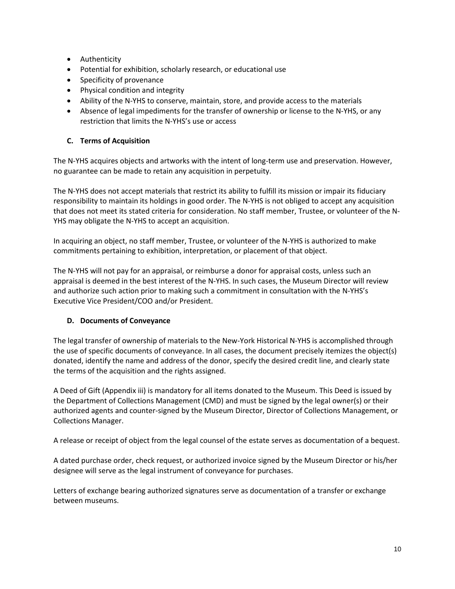- **•** Authenticity
- Potential for exhibition, scholarly research, or educational use
- Specificity of provenance
- Physical condition and integrity
- Ability of the N-YHS to conserve, maintain, store, and provide access to the materials
- Absence of legal impediments for the transfer of ownership or license to the N-YHS, or any restriction that limits the N-YHS's use or access

## **C. Terms of Acquisition**

The N-YHS acquires objects and artworks with the intent of long-term use and preservation. However, no guarantee can be made to retain any acquisition in perpetuity.

The N-YHS does not accept materials that restrict its ability to fulfill its mission or impair its fiduciary responsibility to maintain its holdings in good order. The N-YHS is not obliged to accept any acquisition that does not meet its stated criteria for consideration. No staff member, Trustee, or volunteer of the N-YHS may obligate the N-YHS to accept an acquisition.

In acquiring an object, no staff member, Trustee, or volunteer of the N-YHS is authorized to make commitments pertaining to exhibition, interpretation, or placement of that object.

The N-YHS will not pay for an appraisal, or reimburse a donor for appraisal costs, unless such an appraisal is deemed in the best interest of the N-YHS. In such cases, the Museum Director will review and authorize such action prior to making such a commitment in consultation with the N-YHS's Executive Vice President/COO and/or President.

## **D. Documents of Conveyance**

The legal transfer of ownership of materials to the New-York Historical N-YHS is accomplished through the use of specific documents of conveyance. In all cases, the document precisely itemizes the object(s) donated, identify the name and address of the donor, specify the desired credit line, and clearly state the terms of the acquisition and the rights assigned.

A Deed of Gift (Appendix iii) is mandatory for all items donated to the Museum. This Deed is issued by the Department of Collections Management (CMD) and must be signed by the legal owner(s) or their authorized agents and counter-signed by the Museum Director, Director of Collections Management, or Collections Manager.

A release or receipt of object from the legal counsel of the estate serves as documentation of a bequest.

A dated purchase order, check request, or authorized invoice signed by the Museum Director or his/her designee will serve as the legal instrument of conveyance for purchases.

Letters of exchange bearing authorized signatures serve as documentation of a transfer or exchange between museums.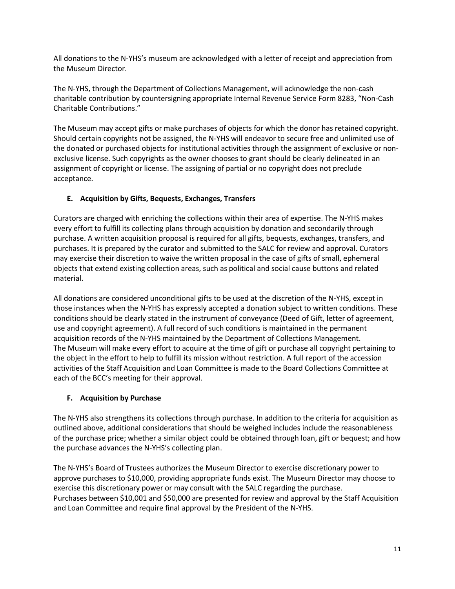All donations to the N-YHS's museum are acknowledged with a letter of receipt and appreciation from the Museum Director.

The N-YHS, through the Department of Collections Management, will acknowledge the non-cash charitable contribution by countersigning appropriate Internal Revenue Service Form 8283, "Non-Cash Charitable Contributions."

The Museum may accept gifts or make purchases of objects for which the donor has retained copyright. Should certain copyrights not be assigned, the N-YHS will endeavor to secure free and unlimited use of the donated or purchased objects for institutional activities through the assignment of exclusive or nonexclusive license. Such copyrights as the owner chooses to grant should be clearly delineated in an assignment of copyright or license. The assigning of partial or no copyright does not preclude acceptance.

## **E. Acquisition by Gifts, Bequests, Exchanges, Transfers**

Curators are charged with enriching the collections within their area of expertise. The N-YHS makes every effort to fulfill its collecting plans through acquisition by donation and secondarily through purchase. A written acquisition proposal is required for all gifts, bequests, exchanges, transfers, and purchases. It is prepared by the curator and submitted to the SALC for review and approval. Curators may exercise their discretion to waive the written proposal in the case of gifts of small, ephemeral objects that extend existing collection areas, such as political and social cause buttons and related material.

All donations are considered unconditional gifts to be used at the discretion of the N-YHS, except in those instances when the N-YHS has expressly accepted a donation subject to written conditions. These conditions should be clearly stated in the instrument of conveyance (Deed of Gift, letter of agreement, use and copyright agreement). A full record of such conditions is maintained in the permanent acquisition records of the N-YHS maintained by the Department of Collections Management. The Museum will make every effort to acquire at the time of gift or purchase all copyright pertaining to the object in the effort to help to fulfill its mission without restriction. A full report of the accession activities of the Staff Acquisition and Loan Committee is made to the Board Collections Committee at each of the BCC's meeting for their approval.

## **F. Acquisition by Purchase**

The N-YHS also strengthens its collections through purchase. In addition to the criteria for acquisition as outlined above, additional considerations that should be weighed includes include the reasonableness of the purchase price; whether a similar object could be obtained through loan, gift or bequest; and how the purchase advances the N-YHS's collecting plan.

The N-YHS's Board of Trustees authorizes the Museum Director to exercise discretionary power to approve purchases to \$10,000, providing appropriate funds exist. The Museum Director may choose to exercise this discretionary power or may consult with the SALC regarding the purchase. Purchases between \$10,001 and \$50,000 are presented for review and approval by the Staff Acquisition and Loan Committee and require final approval by the President of the N-YHS.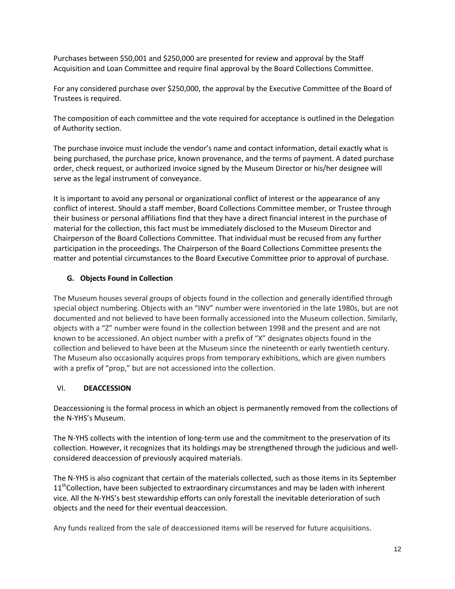Purchases between \$50,001 and \$250,000 are presented for review and approval by the Staff Acquisition and Loan Committee and require final approval by the Board Collections Committee.

For any considered purchase over \$250,000, the approval by the Executive Committee of the Board of Trustees is required.

The composition of each committee and the vote required for acceptance is outlined in the Delegation of Authority section.

The purchase invoice must include the vendor's name and contact information, detail exactly what is being purchased, the purchase price, known provenance, and the terms of payment. A dated purchase order, check request, or authorized invoice signed by the Museum Director or his/her designee will serve as the legal instrument of conveyance.

It is important to avoid any personal or organizational conflict of interest or the appearance of any conflict of interest. Should a staff member, Board Collections Committee member, or Trustee through their business or personal affiliations find that they have a direct financial interest in the purchase of material for the collection, this fact must be immediately disclosed to the Museum Director and Chairperson of the Board Collections Committee. That individual must be recused from any further participation in the proceedings. The Chairperson of the Board Collections Committee presents the matter and potential circumstances to the Board Executive Committee prior to approval of purchase.

### **G. Objects Found in Collection**

The Museum houses several groups of objects found in the collection and generally identified through special object numbering. Objects with an "INV" number were inventoried in the late 1980s, but are not documented and not believed to have been formally accessioned into the Museum collection. Similarly, objects with a "Z" number were found in the collection between 1998 and the present and are not known to be accessioned. An object number with a prefix of "X" designates objects found in the collection and believed to have been at the Museum since the nineteenth or early twentieth century. The Museum also occasionally acquires props from temporary exhibitions, which are given numbers with a prefix of "prop," but are not accessioned into the collection.

#### VI. **DEACCESSION**

Deaccessioning is the formal process in which an object is permanently removed from the collections of the N-YHS's Museum.

The N-YHS collects with the intention of long-term use and the commitment to the preservation of its collection. However, it recognizes that its holdings may be strengthened through the judicious and wellconsidered deaccession of previously acquired materials.

The N-YHS is also cognizant that certain of the materials collected, such as those items in its September  $11<sup>th</sup>$ Collection, have been subjected to extraordinary circumstances and may be laden with inherent vice. All the N-YHS's best stewardship efforts can only forestall the inevitable deterioration of such objects and the need for their eventual deaccession.

Any funds realized from the sale of deaccessioned items will be reserved for future acquisitions.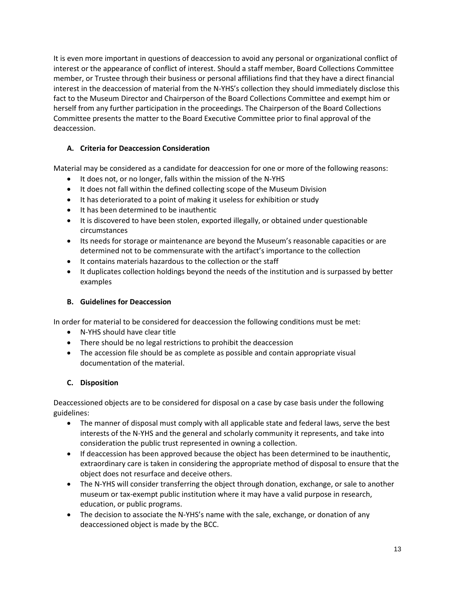It is even more important in questions of deaccession to avoid any personal or organizational conflict of interest or the appearance of conflict of interest. Should a staff member, Board Collections Committee member, or Trustee through their business or personal affiliations find that they have a direct financial interest in the deaccession of material from the N-YHS's collection they should immediately disclose this fact to the Museum Director and Chairperson of the Board Collections Committee and exempt him or herself from any further participation in the proceedings. The Chairperson of the Board Collections Committee presents the matter to the Board Executive Committee prior to final approval of the deaccession.

## **A. Criteria for Deaccession Consideration**

Material may be considered as a candidate for deaccession for one or more of the following reasons:

- It does not, or no longer, falls within the mission of the N-YHS
- It does not fall within the defined collecting scope of the Museum Division
- It has deteriorated to a point of making it useless for exhibition or study
- It has been determined to be inauthentic
- It is discovered to have been stolen, exported illegally, or obtained under questionable circumstances
- Its needs for storage or maintenance are beyond the Museum's reasonable capacities or are determined not to be commensurate with the artifact's importance to the collection
- It contains materials hazardous to the collection or the staff
- It duplicates collection holdings beyond the needs of the institution and is surpassed by better examples

## **B. Guidelines for Deaccession**

In order for material to be considered for deaccession the following conditions must be met:

- N-YHS should have clear title
- There should be no legal restrictions to prohibit the deaccession
- The accession file should be as complete as possible and contain appropriate visual documentation of the material.

## **C. Disposition**

Deaccessioned objects are to be considered for disposal on a case by case basis under the following guidelines:

- The manner of disposal must comply with all applicable state and federal laws, serve the best interests of the N-YHS and the general and scholarly community it represents, and take into consideration the public trust represented in owning a collection.
- If deaccession has been approved because the object has been determined to be inauthentic, extraordinary care is taken in considering the appropriate method of disposal to ensure that the object does not resurface and deceive others.
- The N-YHS will consider transferring the object through donation, exchange, or sale to another museum or tax-exempt public institution where it may have a valid purpose in research, education, or public programs.
- The decision to associate the N-YHS's name with the sale, exchange, or donation of any deaccessioned object is made by the BCC.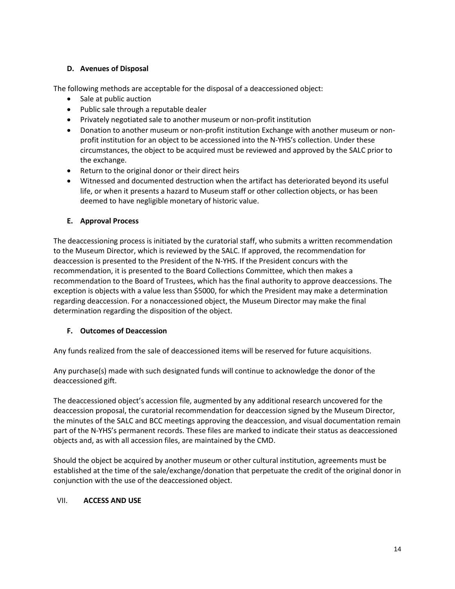### **D. Avenues of Disposal**

The following methods are acceptable for the disposal of a deaccessioned object:

- Sale at public auction
- Public sale through a reputable dealer
- Privately negotiated sale to another museum or non-profit institution
- Donation to another museum or non-profit institution Exchange with another museum or nonprofit institution for an object to be accessioned into the N-YHS's collection. Under these circumstances, the object to be acquired must be reviewed and approved by the SALC prior to the exchange.
- Return to the original donor or their direct heirs
- Witnessed and documented destruction when the artifact has deteriorated beyond its useful life, or when it presents a hazard to Museum staff or other collection objects, or has been deemed to have negligible monetary of historic value.

### **E. Approval Process**

The deaccessioning process is initiated by the curatorial staff, who submits a written recommendation to the Museum Director, which is reviewed by the SALC. If approved, the recommendation for deaccession is presented to the President of the N-YHS. If the President concurs with the recommendation, it is presented to the Board Collections Committee, which then makes a recommendation to the Board of Trustees, which has the final authority to approve deaccessions. The exception is objects with a value less than \$5000, for which the President may make a determination regarding deaccession. For a nonaccessioned object, the Museum Director may make the final determination regarding the disposition of the object.

## **F. Outcomes of Deaccession**

Any funds realized from the sale of deaccessioned items will be reserved for future acquisitions.

Any purchase(s) made with such designated funds will continue to acknowledge the donor of the deaccessioned gift.

The deaccessioned object's accession file, augmented by any additional research uncovered for the deaccession proposal, the curatorial recommendation for deaccession signed by the Museum Director, the minutes of the SALC and BCC meetings approving the deaccession, and visual documentation remain part of the N-YHS's permanent records. These files are marked to indicate their status as deaccessioned objects and, as with all accession files, are maintained by the CMD.

Should the object be acquired by another museum or other cultural institution, agreements must be established at the time of the sale/exchange/donation that perpetuate the credit of the original donor in conjunction with the use of the deaccessioned object.

#### VII. **ACCESS AND USE**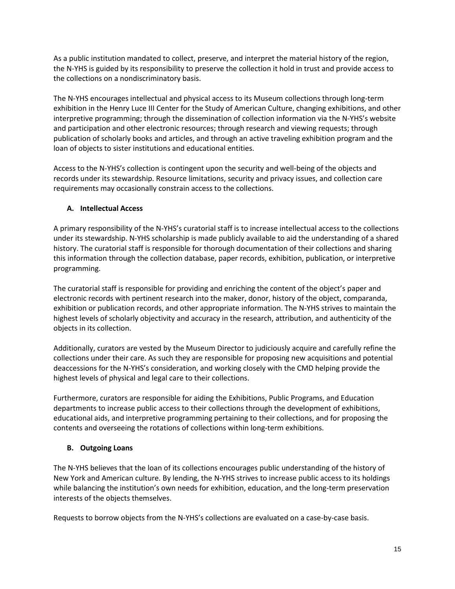As a public institution mandated to collect, preserve, and interpret the material history of the region, the N-YHS is guided by its responsibility to preserve the collection it hold in trust and provide access to the collections on a nondiscriminatory basis.

The N-YHS encourages intellectual and physical access to its Museum collections through long-term exhibition in the Henry Luce III Center for the Study of American Culture, changing exhibitions, and other interpretive programming; through the dissemination of collection information via the N-YHS's website and participation and other electronic resources; through research and viewing requests; through publication of scholarly books and articles, and through an active traveling exhibition program and the loan of objects to sister institutions and educational entities.

Access to the N-YHS's collection is contingent upon the security and well-being of the objects and records under its stewardship. Resource limitations, security and privacy issues, and collection care requirements may occasionally constrain access to the collections.

## **A. Intellectual Access**

A primary responsibility of the N-YHS's curatorial staff is to increase intellectual access to the collections under its stewardship. N-YHS scholarship is made publicly available to aid the understanding of a shared history. The curatorial staff is responsible for thorough documentation of their collections and sharing this information through the collection database, paper records, exhibition, publication, or interpretive programming.

The curatorial staff is responsible for providing and enriching the content of the object's paper and electronic records with pertinent research into the maker, donor, history of the object, comparanda, exhibition or publication records, and other appropriate information. The N-YHS strives to maintain the highest levels of scholarly objectivity and accuracy in the research, attribution, and authenticity of the objects in its collection.

Additionally, curators are vested by the Museum Director to judiciously acquire and carefully refine the collections under their care. As such they are responsible for proposing new acquisitions and potential deaccessions for the N-YHS's consideration, and working closely with the CMD helping provide the highest levels of physical and legal care to their collections.

Furthermore, curators are responsible for aiding the Exhibitions, Public Programs, and Education departments to increase public access to their collections through the development of exhibitions, educational aids, and interpretive programming pertaining to their collections, and for proposing the contents and overseeing the rotations of collections within long-term exhibitions.

## **B. Outgoing Loans**

The N-YHS believes that the loan of its collections encourages public understanding of the history of New York and American culture. By lending, the N-YHS strives to increase public access to its holdings while balancing the institution's own needs for exhibition, education, and the long-term preservation interests of the objects themselves.

Requests to borrow objects from the N-YHS's collections are evaluated on a case-by-case basis.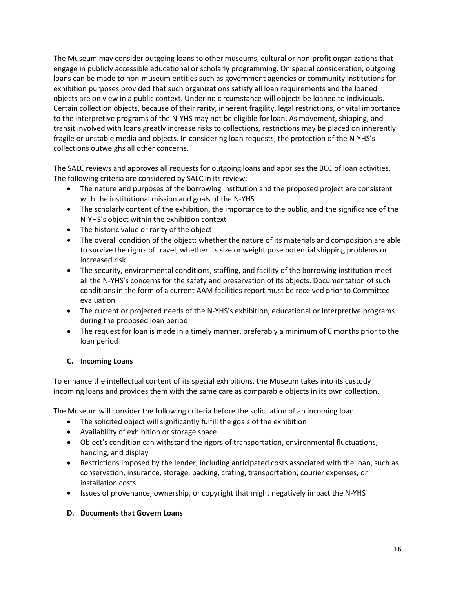The Museum may consider outgoing loans to other museums, cultural or non-profit organizations that engage in publicly accessible educational or scholarly programming. On special consideration, outgoing loans can be made to non-museum entities such as government agencies or community institutions for exhibition purposes provided that such organizations satisfy all loan requirements and the loaned objects are on view in a public context. Under no circumstance will objects be loaned to individuals. Certain collection objects, because of their rarity, inherent fragility, legal restrictions, or vital importance to the interpretive programs of the N-YHS may not be eligible for loan. As movement, shipping, and transit involved with loans greatly increase risks to collections, restrictions may be placed on inherently fragile or unstable media and objects. In considering loan requests, the protection of the N-YHS's collections outweighs all other concerns.

The SALC reviews and approves all requests for outgoing loans and apprises the BCC of loan activities. The following criteria are considered by SALC in its review:

- The nature and purposes of the borrowing institution and the proposed project are consistent with the institutional mission and goals of the N-YHS
- The scholarly content of the exhibition, the importance to the public, and the significance of the N-YHS's object within the exhibition context
- The historic value or rarity of the object
- The overall condition of the object: whether the nature of its materials and composition are able to survive the rigors of travel, whether its size or weight pose potential shipping problems or increased risk
- The security, environmental conditions, staffing, and facility of the borrowing institution meet all the N-YHS's concerns for the safety and preservation of its objects. Documentation of such conditions in the form of a current AAM facilities report must be received prior to Committee evaluation
- The current or projected needs of the N-YHS's exhibition, educational or interpretive programs during the proposed loan period
- The request for loan is made in a timely manner, preferably a minimum of 6 months prior to the loan period

## **C. Incoming Loans**

To enhance the intellectual content of its special exhibitions, the Museum takes into its custody incoming loans and provides them with the same care as comparable objects in its own collection.

The Museum will consider the following criteria before the solicitation of an incoming loan:

- The solicited object will significantly fulfill the goals of the exhibition
- Availability of exhibition or storage space
- Object's condition can withstand the rigors of transportation, environmental fluctuations, handing, and display
- Restrictions imposed by the lender, including anticipated costs associated with the loan, such as conservation, insurance, storage, packing, crating, transportation, courier expenses, or installation costs
- Issues of provenance, ownership, or copyright that might negatively impact the N-YHS

## **D. Documents that Govern Loans**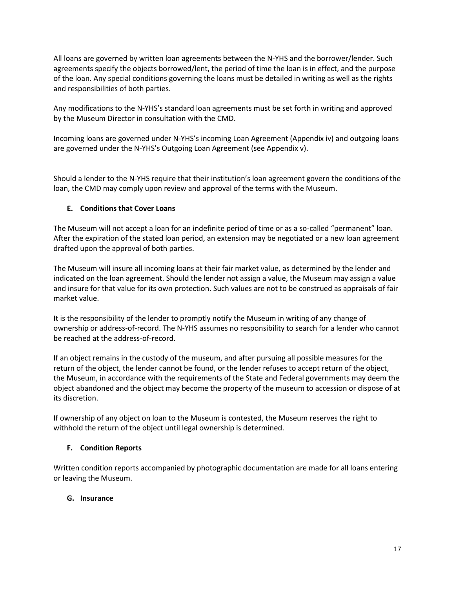All loans are governed by written loan agreements between the N-YHS and the borrower/lender. Such agreements specify the objects borrowed/lent, the period of time the loan is in effect, and the purpose of the loan. Any special conditions governing the loans must be detailed in writing as well as the rights and responsibilities of both parties.

Any modifications to the N-YHS's standard loan agreements must be set forth in writing and approved by the Museum Director in consultation with the CMD.

Incoming loans are governed under N-YHS's incoming Loan Agreement (Appendix iv) and outgoing loans are governed under the N-YHS's Outgoing Loan Agreement (see Appendix v).

Should a lender to the N-YHS require that their institution's loan agreement govern the conditions of the loan, the CMD may comply upon review and approval of the terms with the Museum.

## **E. Conditions that Cover Loans**

The Museum will not accept a loan for an indefinite period of time or as a so-called "permanent" loan. After the expiration of the stated loan period, an extension may be negotiated or a new loan agreement drafted upon the approval of both parties.

The Museum will insure all incoming loans at their fair market value, as determined by the lender and indicated on the loan agreement. Should the lender not assign a value, the Museum may assign a value and insure for that value for its own protection. Such values are not to be construed as appraisals of fair market value.

It is the responsibility of the lender to promptly notify the Museum in writing of any change of ownership or address-of-record. The N-YHS assumes no responsibility to search for a lender who cannot be reached at the address-of-record.

If an object remains in the custody of the museum, and after pursuing all possible measures for the return of the object, the lender cannot be found, or the lender refuses to accept return of the object, the Museum, in accordance with the requirements of the State and Federal governments may deem the object abandoned and the object may become the property of the museum to accession or dispose of at its discretion.

If ownership of any object on loan to the Museum is contested, the Museum reserves the right to withhold the return of the object until legal ownership is determined.

## **F. Condition Reports**

Written condition reports accompanied by photographic documentation are made for all loans entering or leaving the Museum.

## **G. Insurance**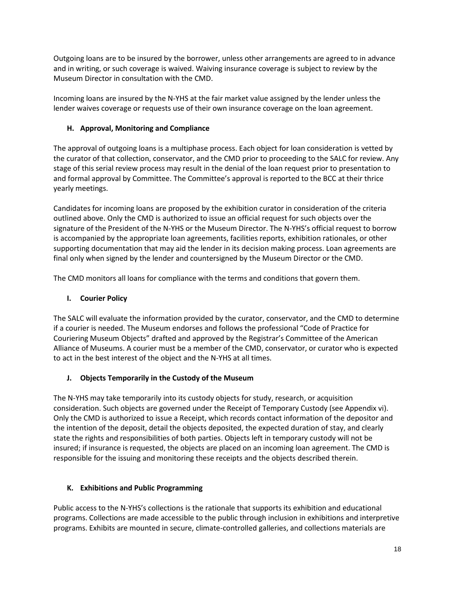Outgoing loans are to be insured by the borrower, unless other arrangements are agreed to in advance and in writing, or such coverage is waived. Waiving insurance coverage is subject to review by the Museum Director in consultation with the CMD.

Incoming loans are insured by the N-YHS at the fair market value assigned by the lender unless the lender waives coverage or requests use of their own insurance coverage on the loan agreement.

## **H. Approval, Monitoring and Compliance**

The approval of outgoing loans is a multiphase process. Each object for loan consideration is vetted by the curator of that collection, conservator, and the CMD prior to proceeding to the SALC for review. Any stage of this serial review process may result in the denial of the loan request prior to presentation to and formal approval by Committee. The Committee's approval is reported to the BCC at their thrice yearly meetings.

Candidates for incoming loans are proposed by the exhibition curator in consideration of the criteria outlined above. Only the CMD is authorized to issue an official request for such objects over the signature of the President of the N-YHS or the Museum Director. The N-YHS's official request to borrow is accompanied by the appropriate loan agreements, facilities reports, exhibition rationales, or other supporting documentation that may aid the lender in its decision making process. Loan agreements are final only when signed by the lender and countersigned by the Museum Director or the CMD.

The CMD monitors all loans for compliance with the terms and conditions that govern them.

## **I. Courier Policy**

The SALC will evaluate the information provided by the curator, conservator, and the CMD to determine if a courier is needed. The Museum endorses and follows the professional "Code of Practice for Couriering Museum Objects" drafted and approved by the Registrar's Committee of the American Alliance of Museums. A courier must be a member of the CMD, conservator, or curator who is expected to act in the best interest of the object and the N-YHS at all times.

## **J. Objects Temporarily in the Custody of the Museum**

The N-YHS may take temporarily into its custody objects for study, research, or acquisition consideration. Such objects are governed under the Receipt of Temporary Custody (see Appendix vi). Only the CMD is authorized to issue a Receipt, which records contact information of the depositor and the intention of the deposit, detail the objects deposited, the expected duration of stay, and clearly state the rights and responsibilities of both parties. Objects left in temporary custody will not be insured; if insurance is requested, the objects are placed on an incoming loan agreement. The CMD is responsible for the issuing and monitoring these receipts and the objects described therein.

## **K. Exhibitions and Public Programming**

Public access to the N-YHS's collections is the rationale that supports its exhibition and educational programs. Collections are made accessible to the public through inclusion in exhibitions and interpretive programs. Exhibits are mounted in secure, climate-controlled galleries, and collections materials are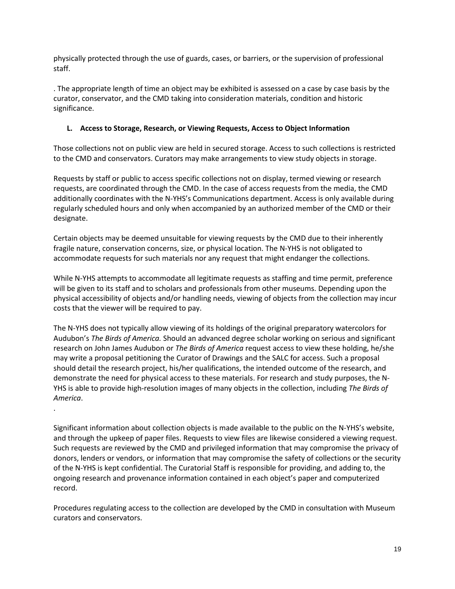physically protected through the use of guards, cases, or barriers, or the supervision of professional staff.

. The appropriate length of time an object may be exhibited is assessed on a case by case basis by the curator, conservator, and the CMD taking into consideration materials, condition and historic significance.

## **L. Access to Storage, Research, or Viewing Requests, Access to Object Information**

Those collections not on public view are held in secured storage. Access to such collections is restricted to the CMD and conservators. Curators may make arrangements to view study objects in storage.

Requests by staff or public to access specific collections not on display, termed viewing or research requests, are coordinated through the CMD. In the case of access requests from the media, the CMD additionally coordinates with the N-YHS's Communications department. Access is only available during regularly scheduled hours and only when accompanied by an authorized member of the CMD or their designate.

Certain objects may be deemed unsuitable for viewing requests by the CMD due to their inherently fragile nature, conservation concerns, size, or physical location. The N-YHS is not obligated to accommodate requests for such materials nor any request that might endanger the collections.

While N-YHS attempts to accommodate all legitimate requests as staffing and time permit, preference will be given to its staff and to scholars and professionals from other museums. Depending upon the physical accessibility of objects and/or handling needs, viewing of objects from the collection may incur costs that the viewer will be required to pay.

The N-YHS does not typically allow viewing of its holdings of the original preparatory watercolors for Audubon's *The Birds of America.* Should an advanced degree scholar working on serious and significant research on John James Audubon or *The Birds of America* request access to view these holding, he/she may write a proposal petitioning the Curator of Drawings and the SALC for access. Such a proposal should detail the research project, his/her qualifications, the intended outcome of the research, and demonstrate the need for physical access to these materials. For research and study purposes, the N-YHS is able to provide high-resolution images of many objects in the collection, including *The Birds of America*.

.

Significant information about collection objects is made available to the public on the N-YHS's website, and through the upkeep of paper files. Requests to view files are likewise considered a viewing request. Such requests are reviewed by the CMD and privileged information that may compromise the privacy of donors, lenders or vendors, or information that may compromise the safety of collections or the security of the N-YHS is kept confidential. The Curatorial Staff is responsible for providing, and adding to, the ongoing research and provenance information contained in each object's paper and computerized record.

Procedures regulating access to the collection are developed by the CMD in consultation with Museum curators and conservators.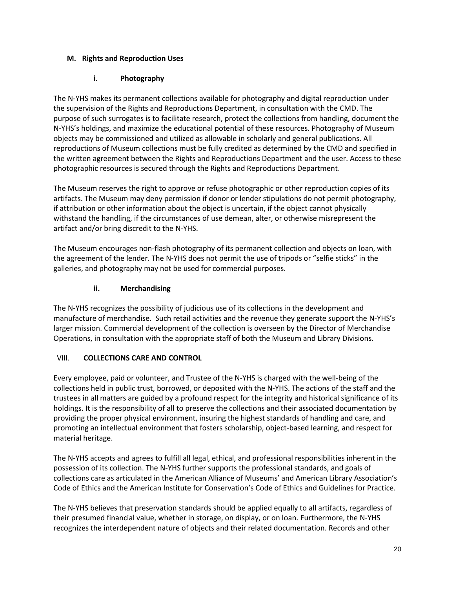## **M. Rights and Reproduction Uses**

## **i. Photography**

The N-YHS makes its permanent collections available for photography and digital reproduction under the supervision of the Rights and Reproductions Department, in consultation with the CMD. The purpose of such surrogates is to facilitate research, protect the collections from handling, document the N-YHS's holdings, and maximize the educational potential of these resources. Photography of Museum objects may be commissioned and utilized as allowable in scholarly and general publications. All reproductions of Museum collections must be fully credited as determined by the CMD and specified in the written agreement between the Rights and Reproductions Department and the user. Access to these photographic resources is secured through the Rights and Reproductions Department.

The Museum reserves the right to approve or refuse photographic or other reproduction copies of its artifacts. The Museum may deny permission if donor or lender stipulations do not permit photography, if attribution or other information about the object is uncertain, if the object cannot physically withstand the handling, if the circumstances of use demean, alter, or otherwise misrepresent the artifact and/or bring discredit to the N-YHS.

The Museum encourages non-flash photography of its permanent collection and objects on loan, with the agreement of the lender. The N-YHS does not permit the use of tripods or "selfie sticks" in the galleries, and photography may not be used for commercial purposes.

## **ii. Merchandising**

The N-YHS recognizes the possibility of judicious use of its collections in the development and manufacture of merchandise. Such retail activities and the revenue they generate support the N-YHS's larger mission. Commercial development of the collection is overseen by the Director of Merchandise Operations, in consultation with the appropriate staff of both the Museum and Library Divisions.

## VIII. **COLLECTIONS CARE AND CONTROL**

Every employee, paid or volunteer, and Trustee of the N-YHS is charged with the well-being of the collections held in public trust, borrowed, or deposited with the N-YHS. The actions of the staff and the trustees in all matters are guided by a profound respect for the integrity and historical significance of its holdings. It is the responsibility of all to preserve the collections and their associated documentation by providing the proper physical environment, insuring the highest standards of handling and care, and promoting an intellectual environment that fosters scholarship, object-based learning, and respect for material heritage.

The N-YHS accepts and agrees to fulfill all legal, ethical, and professional responsibilities inherent in the possession of its collection. The N-YHS further supports the professional standards, and goals of collections care as articulated in the American Alliance of Museums' and American Library Association's Code of Ethics and the American Institute for Conservation's Code of Ethics and Guidelines for Practice.

The N-YHS believes that preservation standards should be applied equally to all artifacts, regardless of their presumed financial value, whether in storage, on display, or on loan. Furthermore, the N-YHS recognizes the interdependent nature of objects and their related documentation. Records and other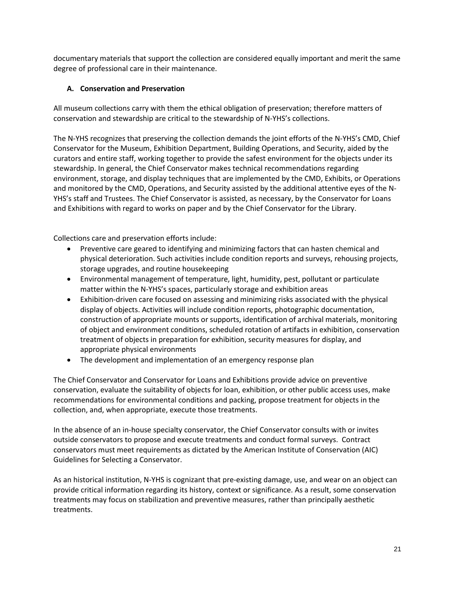documentary materials that support the collection are considered equally important and merit the same degree of professional care in their maintenance.

## **A. Conservation and Preservation**

All museum collections carry with them the ethical obligation of preservation; therefore matters of conservation and stewardship are critical to the stewardship of N-YHS's collections.

The N-YHS recognizes that preserving the collection demands the joint efforts of the N-YHS's CMD, Chief Conservator for the Museum, Exhibition Department, Building Operations, and Security, aided by the curators and entire staff, working together to provide the safest environment for the objects under its stewardship. In general, the Chief Conservator makes technical recommendations regarding environment, storage, and display techniques that are implemented by the CMD, Exhibits, or Operations and monitored by the CMD, Operations, and Security assisted by the additional attentive eyes of the N-YHS's staff and Trustees. The Chief Conservator is assisted, as necessary, by the Conservator for Loans and Exhibitions with regard to works on paper and by the Chief Conservator for the Library.

Collections care and preservation efforts include:

- Preventive care geared to identifying and minimizing factors that can hasten chemical and physical deterioration. Such activities include condition reports and surveys, rehousing projects, storage upgrades, and routine housekeeping
- Environmental management of temperature, light, humidity, pest, pollutant or particulate matter within the N-YHS's spaces, particularly storage and exhibition areas
- Exhibition-driven care focused on assessing and minimizing risks associated with the physical display of objects. Activities will include condition reports, photographic documentation, construction of appropriate mounts or supports, identification of archival materials, monitoring of object and environment conditions, scheduled rotation of artifacts in exhibition, conservation treatment of objects in preparation for exhibition, security measures for display, and appropriate physical environments
- The development and implementation of an emergency response plan

The Chief Conservator and Conservator for Loans and Exhibitions provide advice on preventive conservation, evaluate the suitability of objects for loan, exhibition, or other public access uses, make recommendations for environmental conditions and packing, propose treatment for objects in the collection, and, when appropriate, execute those treatments.

In the absence of an in-house specialty conservator, the Chief Conservator consults with or invites outside conservators to propose and execute treatments and conduct formal surveys. Contract conservators must meet requirements as dictated by the American Institute of Conservation (AIC) Guidelines for Selecting a Conservator.

As an historical institution, N-YHS is cognizant that pre-existing damage, use, and wear on an object can provide critical information regarding its history, context or significance. As a result, some conservation treatments may focus on stabilization and preventive measures, rather than principally aesthetic treatments.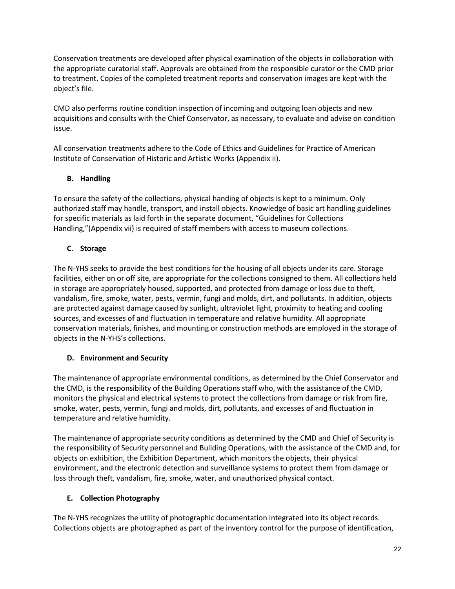Conservation treatments are developed after physical examination of the objects in collaboration with the appropriate curatorial staff. Approvals are obtained from the responsible curator or the CMD prior to treatment. Copies of the completed treatment reports and conservation images are kept with the object's file.

CMD also performs routine condition inspection of incoming and outgoing loan objects and new acquisitions and consults with the Chief Conservator, as necessary, to evaluate and advise on condition issue.

All conservation treatments adhere to the Code of Ethics and Guidelines for Practice of American Institute of Conservation of Historic and Artistic Works (Appendix ii).

## **B. Handling**

To ensure the safety of the collections, physical handing of objects is kept to a minimum. Only authorized staff may handle, transport, and install objects. Knowledge of basic art handling guidelines for specific materials as laid forth in the separate document, "Guidelines for Collections Handling,"(Appendix vii) is required of staff members with access to museum collections.

## **C. Storage**

The N-YHS seeks to provide the best conditions for the housing of all objects under its care. Storage facilities, either on or off site, are appropriate for the collections consigned to them. All collections held in storage are appropriately housed, supported, and protected from damage or loss due to theft, vandalism, fire, smoke, water, pests, vermin, fungi and molds, dirt, and pollutants. In addition, objects are protected against damage caused by sunlight, ultraviolet light, proximity to heating and cooling sources, and excesses of and fluctuation in temperature and relative humidity. All appropriate conservation materials, finishes, and mounting or construction methods are employed in the storage of objects in the N-YHS's collections.

## **D. Environment and Security**

The maintenance of appropriate environmental conditions, as determined by the Chief Conservator and the CMD, is the responsibility of the Building Operations staff who, with the assistance of the CMD, monitors the physical and electrical systems to protect the collections from damage or risk from fire, smoke, water, pests, vermin, fungi and molds, dirt, pollutants, and excesses of and fluctuation in temperature and relative humidity.

The maintenance of appropriate security conditions as determined by the CMD and Chief of Security is the responsibility of Security personnel and Building Operations, with the assistance of the CMD and, for objects on exhibition, the Exhibition Department, which monitors the objects, their physical environment, and the electronic detection and surveillance systems to protect them from damage or loss through theft, vandalism, fire, smoke, water, and unauthorized physical contact.

## **E. Collection Photography**

The N-YHS recognizes the utility of photographic documentation integrated into its object records. Collections objects are photographed as part of the inventory control for the purpose of identification,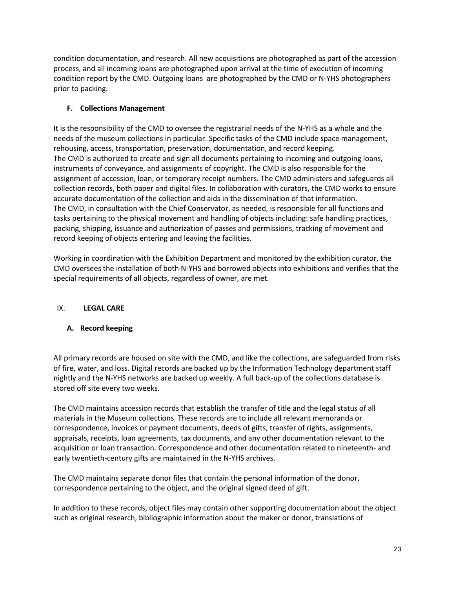condition documentation, and research. All new acquisitions are photographed as part of the accession process, and all incoming loans are photographed upon arrival at the time of execution of incoming condition report by the CMD. Outgoing loans are photographed by the CMD or N-YHS photographers prior to packing.

## **F. Collections Management**

It is the responsibility of the CMD to oversee the registrarial needs of the N-YHS as a whole and the needs of the museum collections in particular. Specific tasks of the CMD include space management, rehousing, access, transportation, preservation, documentation, and record keeping. The CMD is authorized to create and sign all documents pertaining to incoming and outgoing loans, instruments of conveyance, and assignments of copyright. The CMD is also responsible for the assignment of accession, loan, or temporary receipt numbers. The CMD administers and safeguards all collection records, both paper and digital files. In collaboration with curators, the CMD works to ensure accurate documentation of the collection and aids in the dissemination of that information. The CMD, in consultation with the Chief Conservator, as needed, is responsible for all functions and tasks pertaining to the physical movement and handling of objects including: safe handling practices, packing, shipping, issuance and authorization of passes and permissions, tracking of movement and record keeping of objects entering and leaving the facilities.

Working in coordination with the Exhibition Department and monitored by the exhibition curator, the CMD oversees the installation of both N-YHS and borrowed objects into exhibitions and verifies that the special requirements of all objects, regardless of owner, are met.

## IX. **LEGAL CARE**

## **A. Record keeping**

All primary records are housed on site with the CMD, and like the collections, are safeguarded from risks of fire, water, and loss. Digital records are backed up by the Information Technology department staff nightly and the N-YHS networks are backed up weekly. A full back-up of the collections database is stored off site every two weeks.

The CMD maintains accession records that establish the transfer of title and the legal status of all materials in the Museum collections. These records are to include all relevant memoranda or correspondence, invoices or payment documents, deeds of gifts, transfer of rights, assignments, appraisals, receipts, loan agreements, tax documents, and any other documentation relevant to the acquisition or loan transaction. Correspondence and other documentation related to nineteenth- and early twentieth-century gifts are maintained in the N-YHS archives.

The CMD maintains separate donor files that contain the personal information of the donor, correspondence pertaining to the object, and the original signed deed of gift.

In addition to these records, object files may contain other supporting documentation about the object such as original research, bibliographic information about the maker or donor, translations of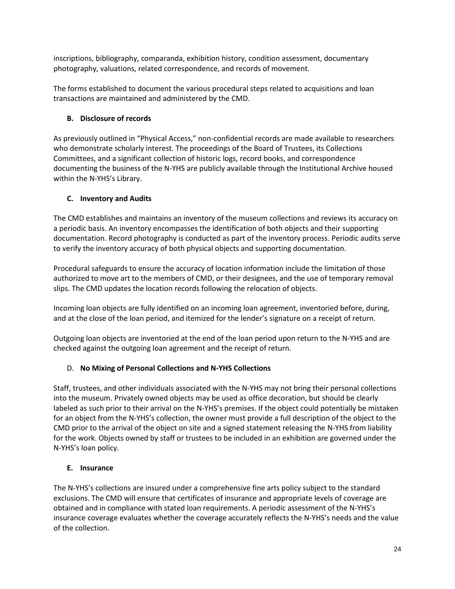inscriptions, bibliography, comparanda, exhibition history, condition assessment, documentary photography, valuations, related correspondence, and records of movement.

The forms established to document the various procedural steps related to acquisitions and loan transactions are maintained and administered by the CMD.

## **B. Disclosure of records**

As previously outlined in "Physical Access," non-confidential records are made available to researchers who demonstrate scholarly interest. The proceedings of the Board of Trustees, its Collections Committees, and a significant collection of historic logs, record books, and correspondence documenting the business of the N-YHS are publicly available through the Institutional Archive housed within the N-YHS's Library.

## **C. Inventory and Audits**

The CMD establishes and maintains an inventory of the museum collections and reviews its accuracy on a periodic basis. An inventory encompasses the identification of both objects and their supporting documentation. Record photography is conducted as part of the inventory process. Periodic audits serve to verify the inventory accuracy of both physical objects and supporting documentation.

Procedural safeguards to ensure the accuracy of location information include the limitation of those authorized to move art to the members of CMD, or their designees, and the use of temporary removal slips. The CMD updates the location records following the relocation of objects.

Incoming loan objects are fully identified on an incoming loan agreement, inventoried before, during, and at the close of the loan period, and itemized for the lender's signature on a receipt of return.

Outgoing loan objects are inventoried at the end of the loan period upon return to the N-YHS and are checked against the outgoing loan agreement and the receipt of return.

## D. **No Mixing of Personal Collections and N-YHS Collections**

Staff, trustees, and other individuals associated with the N-YHS may not bring their personal collections into the museum. Privately owned objects may be used as office decoration, but should be clearly labeled as such prior to their arrival on the N-YHS's premises. If the object could potentially be mistaken for an object from the N-YHS's collection, the owner must provide a full description of the object to the CMD prior to the arrival of the object on site and a signed statement releasing the N-YHS from liability for the work. Objects owned by staff or trustees to be included in an exhibition are governed under the N-YHS's loan policy.

## **E. Insurance**

The N-YHS's collections are insured under a comprehensive fine arts policy subject to the standard exclusions. The CMD will ensure that certificates of insurance and appropriate levels of coverage are obtained and in compliance with stated loan requirements. A periodic assessment of the N-YHS's insurance coverage evaluates whether the coverage accurately reflects the N-YHS's needs and the value of the collection.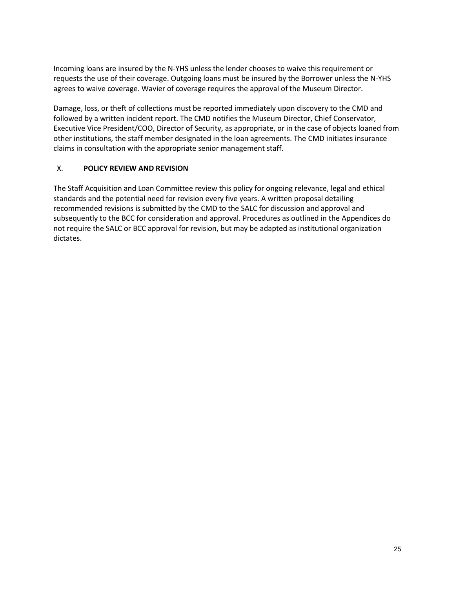Incoming loans are insured by the N-YHS unless the lender chooses to waive this requirement or requests the use of their coverage. Outgoing loans must be insured by the Borrower unless the N-YHS agrees to waive coverage. Wavier of coverage requires the approval of the Museum Director.

Damage, loss, or theft of collections must be reported immediately upon discovery to the CMD and followed by a written incident report. The CMD notifies the Museum Director, Chief Conservator, Executive Vice President/COO, Director of Security, as appropriate, or in the case of objects loaned from other institutions, the staff member designated in the loan agreements. The CMD initiates insurance claims in consultation with the appropriate senior management staff.

## X. **POLICY REVIEW AND REVISION**

The Staff Acquisition and Loan Committee review this policy for ongoing relevance, legal and ethical standards and the potential need for revision every five years. A written proposal detailing recommended revisions is submitted by the CMD to the SALC for discussion and approval and subsequently to the BCC for consideration and approval. Procedures as outlined in the Appendices do not require the SALC or BCC approval for revision, but may be adapted as institutional organization dictates.